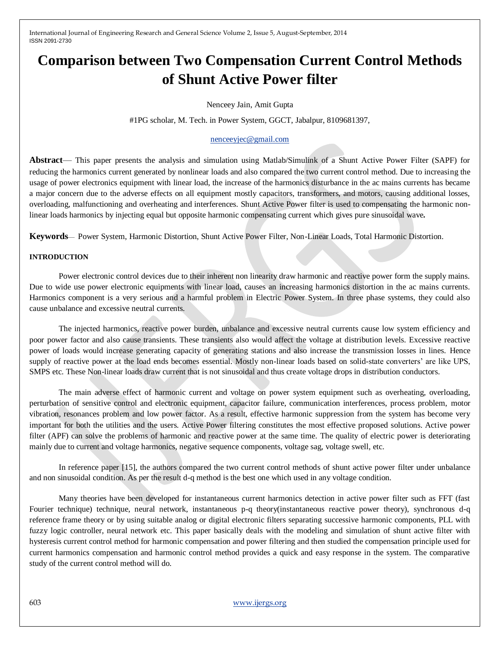# **Comparison between Two Compensation Current Control Methods of Shunt Active Power filter**

Nenceey Jain, Amit Gupta

#1PG scholar, M. Tech. in Power System, GGCT, Jabalpur, 8109681397,

#### [nenceeyjec@gmail.com](mailto:nenceeyjec@gmail.com)

**Abstract**— This paper presents the analysis and simulation using Matlab/Simulink of a Shunt Active Power Filter (SAPF) for reducing the harmonics current generated by nonlinear loads and also compared the two current control method. Due to increasing the usage of power electronics equipment with linear load, the increase of the harmonics disturbance in the ac mains currents has became a major concern due to the adverse effects on all equipment mostly capacitors, transformers, and motors, causing additional losses, overloading, malfunctioning and overheating and interferences. Shunt Active Power filter is used to compensating the harmonic nonlinear loads harmonics by injecting equal but opposite harmonic compensating current which gives pure sinusoidal wave*.*

**Keywords**— Power System, Harmonic Distortion, Shunt Active Power Filter, Non-Linear Loads, Total Harmonic Distortion.

#### **INTRODUCTION**

Power electronic control devices due to their inherent non linearity draw harmonic and reactive power form the supply mains. Due to wide use power electronic equipments with linear load, causes an increasing harmonics distortion in the ac mains currents. Harmonics component is a very serious and a harmful problem in Electric Power System. In three phase systems, they could also cause unbalance and excessive neutral currents.

The injected harmonics, reactive power burden, unbalance and excessive neutral currents cause low system efficiency and poor power factor and also cause transients. These transients also would affect the voltage at distribution levels. Excessive reactive power of loads would increase generating capacity of generating stations and also increase the transmission losses in lines. Hence supply of reactive power at the load ends becomes essential. Mostly non-linear loads based on solid-state converters' are like UPS, SMPS etc. These Non-linear loads draw current that is not sinusoidal and thus create voltage drops in distribution conductors.

The main adverse effect of harmonic current and voltage on power system equipment such as overheating, overloading, perturbation of sensitive control and electronic equipment, capacitor failure, communication interferences, process problem, motor vibration, resonances problem and low power factor. As a result, effective harmonic suppression from the system has become very important for both the utilities and the users. Active Power filtering constitutes the most effective proposed solutions. Active power filter (APF) can solve the problems of harmonic and reactive power at the same time. The quality of electric power is deteriorating mainly due to current and voltage harmonics, negative sequence components, voltage sag, voltage swell, etc.

In reference paper [15], the authors compared the two current control methods of shunt active power filter under unbalance and non sinusoidal condition. As per the result d-q method is the best one which used in any voltage condition.

Many theories have been developed for instantaneous current harmonics detection in active power filter such as FFT (fast Fourier technique) technique, neural network, instantaneous p-q theory(instantaneous reactive power theory), synchronous d-q reference frame theory or by using suitable analog or digital electronic filters separating successive harmonic components, PLL with fuzzy logic controller, neural network etc. This paper basically deals with the modeling and simulation of shunt active filter with hysteresis current control method for harmonic compensation and power filtering and then studied the compensation principle used for current harmonics compensation and harmonic control method provides a quick and easy response in the system. The comparative study of the current control method will do.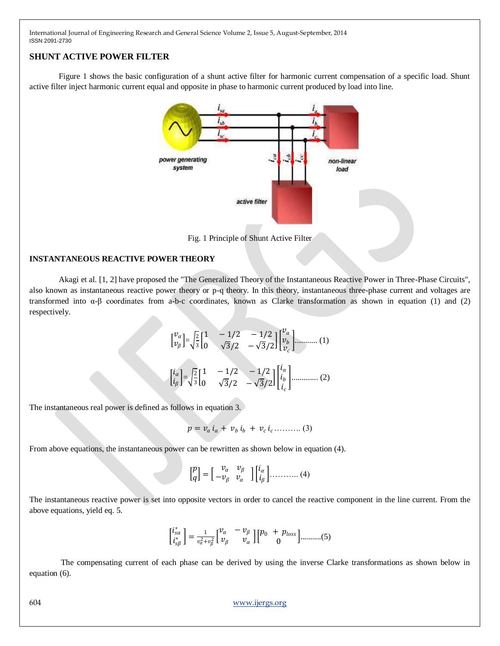# **SHUNT ACTIVE POWER FILTER**

Figure 1 shows the basic configuration of a shunt active filter for harmonic current compensation of a specific load. Shunt active filter inject harmonic current equal and opposite in phase to harmonic current produced by load into line.



Fig. 1 Principle of Shunt Active Filter

## **INSTANTANEOUS REACTIVE POWER THEORY**

Akagi et al. [1, 2] have proposed the "The Generalized Theory of the Instantaneous Reactive Power in Three-Phase Circuits", also known as instantaneous reactive power theory or p-q theory. In this theory, instantaneous three-phase current and voltages are transformed into α-β coordinates from a-b-c coordinates, known as Clarke transformation as shown in equation (1) and (2) respectively.

$$
\begin{bmatrix} v_{\alpha} \\ v_{\beta} \end{bmatrix} = \sqrt{\frac{2}{3}} \begin{bmatrix} 1 & -1/2 & -1/2 \\ 0 & \sqrt{3}/2 & -\sqrt{3}/2 \end{bmatrix} \begin{bmatrix} v_{a} \\ v_{b} \\ v_{c} \end{bmatrix} \dots \dots \dots (1)
$$

$$
\begin{bmatrix} i_{\alpha} \\ i_{\beta} \end{bmatrix} = \sqrt{\frac{2}{3}} \begin{bmatrix} 1 & -1/2 & -1/2 \\ 0 & \sqrt{3}/2 & -\sqrt{3}/2 \end{bmatrix} \begin{bmatrix} i_{a} \\ i_{b} \\ i_{c} \end{bmatrix} \dots \dots \dots (2)
$$

The instantaneous real power is defined as follows in equation 3.

$$
p = v_a i_a + v_b i_b + v_c i_c \dots \dots \dots (3)
$$

From above equations, the instantaneous power can be rewritten as shown below in equation (4).

$$
\begin{bmatrix} p \\ q \end{bmatrix} = \begin{bmatrix} v_{\alpha} & v_{\beta} \\ -v_{\beta} & v_{\alpha} \end{bmatrix} \begin{bmatrix} i_{\alpha} \\ i_{\beta} \end{bmatrix} \dots \dots \dots \dots (4)
$$

The instantaneous reactive power is set into opposite vectors in order to cancel the reactive component in the line current. From the above equations, yield eq. 5.

$$
\begin{bmatrix} i_{s\alpha}^* \\ i_{s\beta}^* \end{bmatrix} = \frac{1}{v_\alpha^2 + v_\beta^2} \begin{bmatrix} v_\alpha & -v_\beta \\ v_\beta & v_\alpha \end{bmatrix} \begin{bmatrix} p_0 & +p_{loss} \\ 0 & 0 \end{bmatrix} \dots \dots \dots (5)
$$

The compensating current of each phase can be derived by using the inverse Clarke transformations as shown below in equation (6).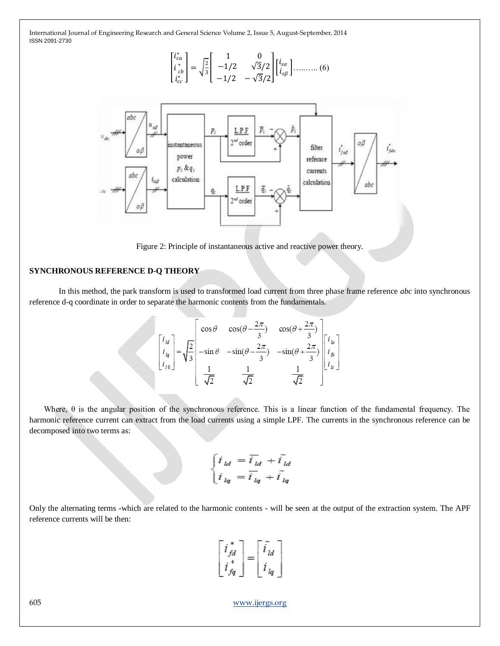$$
\begin{bmatrix} i_{ca}^* \\ i_{cb}^* \\ i_{cc}^* \end{bmatrix} = \sqrt{\frac{2}{3}} \begin{bmatrix} 1 & 0 \\ -1/2 & \sqrt{3}/2 \\ -1/2 & -\sqrt{3}/2 \end{bmatrix} \begin{bmatrix} i_{sa} \\ i_{s\beta} \end{bmatrix} \dots \dots \dots (6)
$$



Figure 2: Principle of instantaneous active and reactive power theory.

#### **SYNCHRONOUS REFERENCE D-Q THEORY**

In this method, the park transform is used to transformed load current from three phase frame reference *abc* into synchronous reference d-q coordinate in order to separate the harmonic contents from the fundamentals.

$$
\begin{bmatrix} i_{ld} \\ i_{lq} \\ i_{l0} \end{bmatrix} = \sqrt{\frac{2}{3}} \begin{bmatrix} \cos \theta & \cos(\theta - \frac{2\pi}{3}) & \cos(\theta + \frac{2\pi}{3}) \\ -\sin \theta & -\sin(\theta - \frac{2\pi}{3}) & -\sin(\theta + \frac{2\pi}{3}) \\ \frac{1}{\sqrt{2}} & \frac{1}{\sqrt{2}} & \frac{1}{\sqrt{2}} \end{bmatrix} \begin{bmatrix} i_{la} \\ i_{lq} \\ i_{lc} \end{bmatrix}
$$

 Where, θ is the angular position of the synchronous reference. This is a linear function of the fundamental frequency. The harmonic reference current can extract from the load currents using a simple LPF. The currents in the synchronous reference can be decomposed into two terms as:

$$
\begin{cases} i_{ld} = \overline{i}_{ld} + \widetilde{i}_{ld} \\ i_{lq} = \overline{i}_{lq} + \widetilde{i}_{lq} \end{cases}
$$

Only the alternating terms -which are related to the harmonic contents - will be seen at the output of the extraction system. The APF reference currents will be then:

$$
\begin{bmatrix} i_{fd}^* \\ i_{fq}^* \end{bmatrix} = \begin{bmatrix} \tilde{i}_d \\ i_{lq} \end{bmatrix}
$$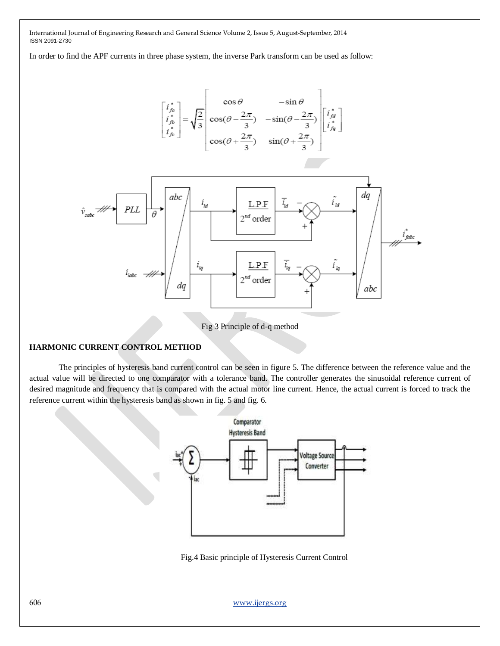In order to find the APF currents in three phase system, the inverse Park transform can be used as follow:

$$
\begin{bmatrix} i_{fa}^* \\ i_{fa}^* \\ i_{fe}^* \end{bmatrix} = \sqrt{\frac{2}{3}} \begin{bmatrix} \cos \theta & -\sin \theta \\ \cos(\theta - \frac{2\pi}{3}) & -\sin(\theta - \frac{2\pi}{3}) \\ \cos(\theta + \frac{2\pi}{3}) & \sin(\theta + \frac{2\pi}{3}) \end{bmatrix} \begin{bmatrix} i_{fa}^* \\ i_{fa}^* \end{bmatrix}
$$



Fig 3 Principle of d-q method

#### **HARMONIC CURRENT CONTROL METHOD**

The principles of hysteresis band current control can be seen in figure 5. The difference between the reference value and the actual value will be directed to one comparator with a tolerance band. The controller generates the sinusoidal reference current of desired magnitude and frequency that is compared with the actual motor line current. Hence, the actual current is forced to track the reference current within the hysteresis band as shown in fig. 5 and fig. 6.



Fig.4 Basic principle of Hysteresis Current Control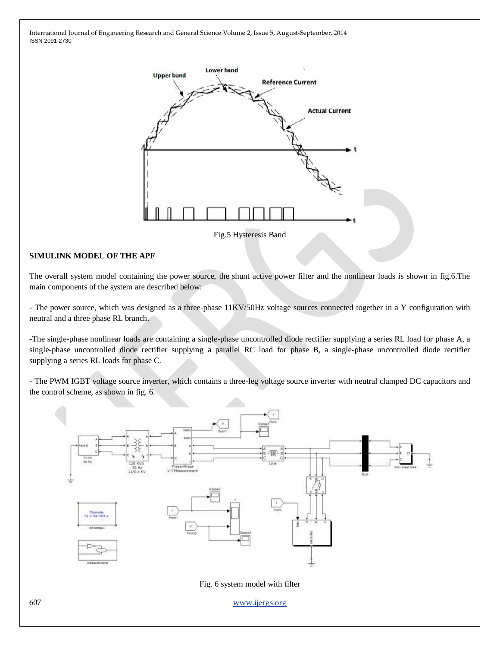

Fig.5 Hysteresis Band

## **SIMULINK MODEL OF THE APF**

The overall system model containing the power source, the shunt active power filter and the nonlinear loads is shown in fig.6.The main components of the system are described below:

- The power source, which was designed as a three-phase 11KV/50Hz voltage sources connected together in a Y configuration with neutral and a three phase RL branch.

-The single-phase nonlinear loads are containing a single-phase uncontrolled diode rectifier supplying a series RL load for phase A, a single-phase uncontrolled diode rectifier supplying a parallel RC load for phase B, a single-phase uncontrolled diode rectifier supplying a series RL loads for phase C.

- The PWM IGBT voltage source inverter, which contains a three-leg voltage source inverter with neutral clamped DC capacitors and the control scheme, as shown in fig. 6.

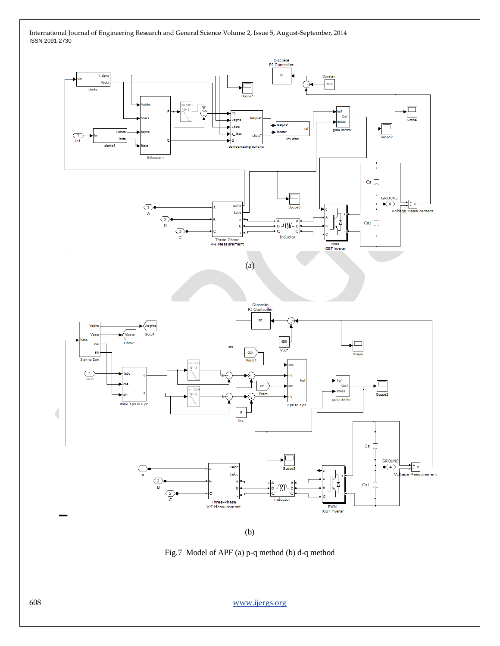

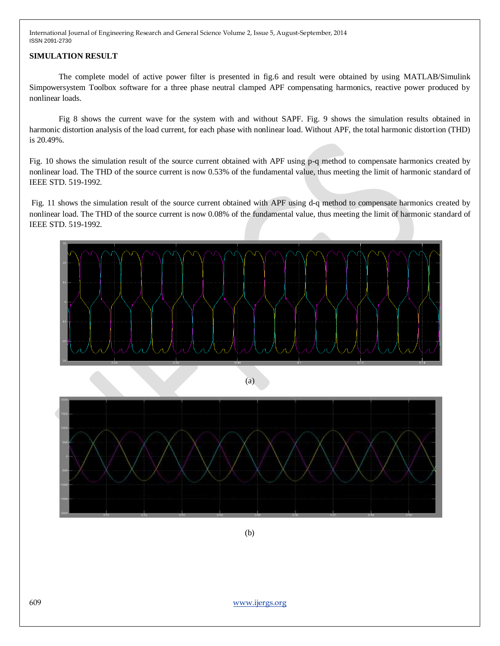#### **SIMULATION RESULT**

The complete model of active power filter is presented in fig.6 and result were obtained by using MATLAB/Simulink Simpowersystem Toolbox software for a three phase neutral clamped APF compensating harmonics, reactive power produced by nonlinear loads.

Fig 8 shows the current wave for the system with and without SAPF. Fig. 9 shows the simulation results obtained in harmonic distortion analysis of the load current, for each phase with nonlinear load. Without APF, the total harmonic distortion (THD) is 20.49%.

Fig. 10 shows the simulation result of the source current obtained with APF using p-q method to compensate harmonics created by nonlinear load. The THD of the source current is now 0.53% of the fundamental value, thus meeting the limit of harmonic standard of IEEE STD. 519-1992.

Fig. 11 shows the simulation result of the source current obtained with APF using d-q method to compensate harmonics created by nonlinear load. The THD of the source current is now 0.08% of the fundamental value, thus meeting the limit of harmonic standard of IEEE STD. 519-1992.







(b)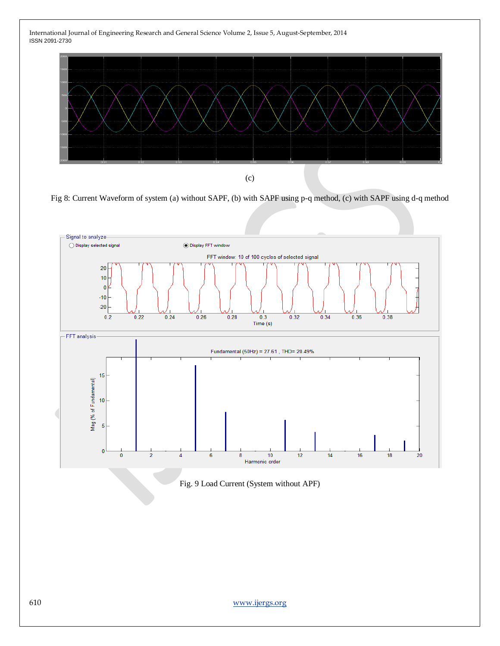

(c)

Fig 8: Current Waveform of system (a) without SAPF, (b) with SAPF using p-q method, (c) with SAPF using d-q method



Fig. 9 Load Current (System without APF)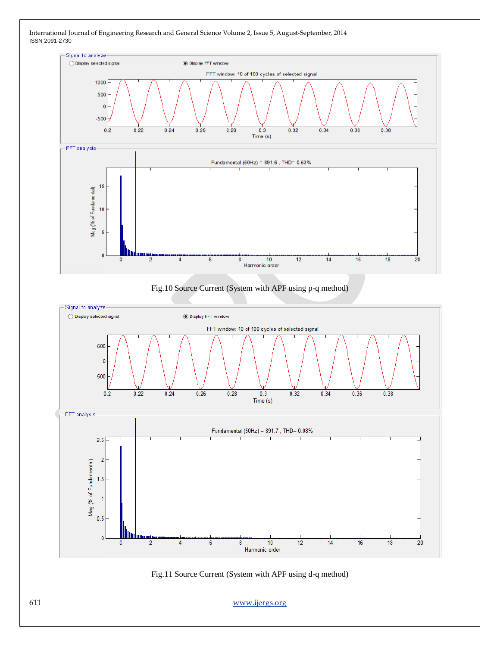





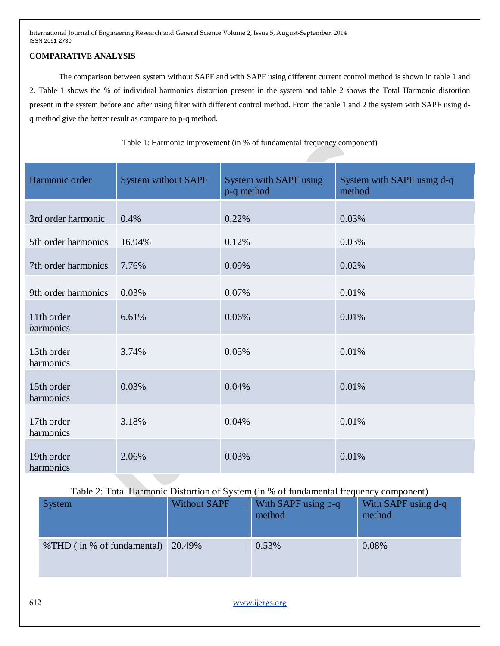# **COMPARATIVE ANALYSIS**

The comparison between system without SAPF and with SAPF using different current control method is shown in table 1 and 2. Table 1 shows the % of individual harmonics distortion present in the system and table 2 shows the Total Harmonic distortion present in the system before and after using filter with different control method. From the table 1 and 2 the system with SAPF using dq method give the better result as compare to p-q method.

Table 1: Harmonic Improvement (in % of fundamental frequency component)

| Harmonic order          | <b>System without SAPF</b> | System with SAPF using<br>p-q method | System with SAPF using d-q<br>method |
|-------------------------|----------------------------|--------------------------------------|--------------------------------------|
| 3rd order harmonic      | 0.4%                       | 0.22%                                | 0.03%                                |
| 5th order harmonics     | 16.94%                     | 0.12%                                | 0.03%                                |
| 7th order harmonics     | 7.76%                      | 0.09%                                | 0.02%                                |
| 9th order harmonics     | 0.03%                      | 0.07%                                | 0.01%                                |
| 11th order<br>harmonics | 6.61%                      | 0.06%                                | 0.01%                                |
| 13th order<br>harmonics | 3.74%                      | 0.05%                                | 0.01%                                |
| 15th order<br>harmonics | 0.03%                      | 0.04%                                | 0.01%                                |
| 17th order<br>harmonics | 3.18%                      | 0.04%                                | 0.01%                                |
| 19th order<br>harmonics | 2.06%                      | 0.03%                                | 0.01%                                |

Table 2: Total Harmonic Distortion of System (in % of fundamental frequency component)

| System                     | <b>Without SAPF</b> | With SAPF using p-q<br>method | With SAPF using d-q<br>method |
|----------------------------|---------------------|-------------------------------|-------------------------------|
| %THD (in % of fundamental) | 20.49%              | 0.53%                         | 0.08%                         |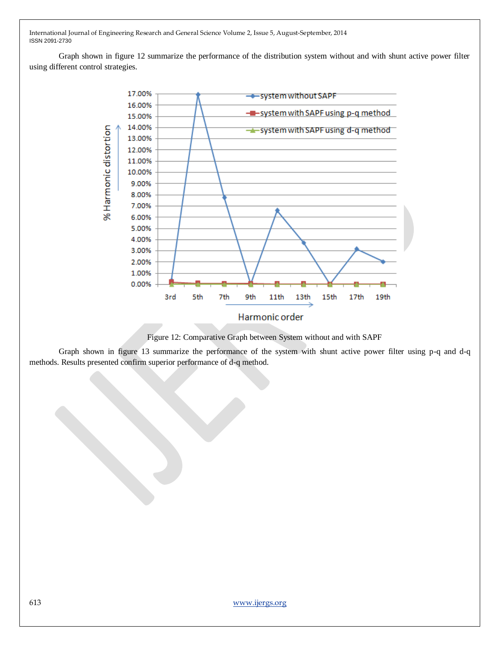Graph shown in figure 12 summarize the performance of the distribution system without and with shunt active power filter using different control strategies.



Figure 12: Comparative Graph between System without and with SAPF

Graph shown in figure 13 summarize the performance of the system with shunt active power filter using p-q and d-q methods. Results presented confirm superior performance of d-q method.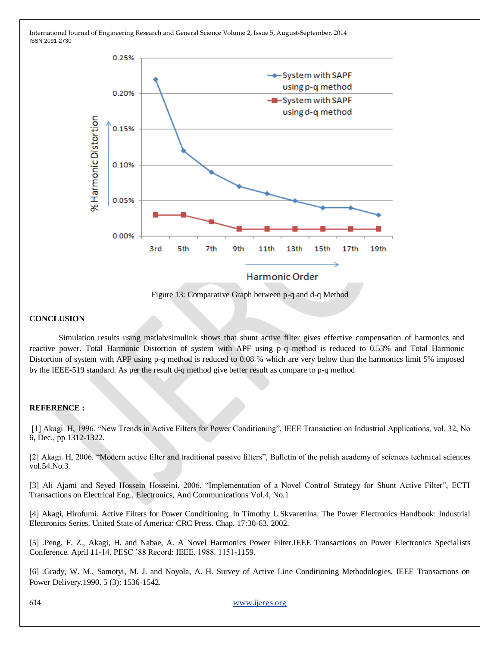

Figure 13: Comparative Graph between p-q and d-q Method

## **CONCLUSION**

Simulation results using matlab/simulink shows that shunt active filter gives effective compensation of harmonics and reactive power. Total Harmonic Distortion of system with APF using p-q method is reduced to 0.53% and Total Harmonic Distortion of system with APF using p-q method is reduced to 0.08 % which are very below than the harmonics limit 5% imposed by the IEEE-519 standard. As per the result d-q method give better result as compare to p-q method

#### **REFERENCE :**

[1] Akagi. H, 1996. "New Trends in Active Filters for Power Conditioning", IEEE Transaction on Industrial Applications, vol. 32, No 6, Dec., pp 1312-1322.

[2] Akagi. H, 2006. "Modern active filter and traditional passive filters", Bulletin of the polish academy of sciences technical sciences vol.54.No.3.

[3] Ali Ajami and Seyed Hossein Hosseini, 2006. "Implementation of a Novel Control Strategy for Shunt Active Filter", ECTI Transactions on Electrical Eng., Electronics, And Communications Vol.4, No.1

[4] Akagi, Hirofumi. Active Filters for Power Conditioning. In Timothy L.Skvarenina. The Power Electronics Handbook: Industrial Electronics Series. United State of America: CRC Press. Chap. 17:30-63. 2002.

[5] .Peng, F. Z., Akagi, H. and Nabae, A. A Novel Harmonics Power Filter.IEEE Transactions on Power Electronics Specialists Conference. April 11-14. PESC '88 Record: IEEE. 1988. 1151-1159.

[6] .Grady, W. M., Samotyi, M. J. and Noyola, A. H. Survey of Active Line Conditioning Methodologies. IEEE Transactions on Power Delivery.1990. 5 (3): 1536-1542.